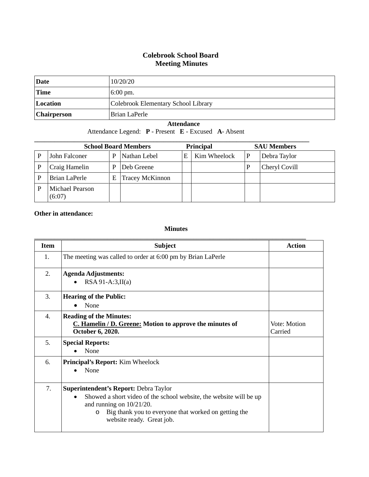## **Colebrook School Board Meeting Minutes**

| <b>Date</b>        | 10/20/20                            |
|--------------------|-------------------------------------|
| <b>Time</b>        | $6:00 \text{ pm}$ .                 |
| Location           | Colebrook Elementary School Library |
| <b>Chairperson</b> | Brian LaPerle                       |

## **Attendance**

Attendance Legend: **P** - Present **E** - Excused **A**- Absent

| <b>School Board Members</b>        |   |                        | <b>Principal</b> |  | <b>SAU Members</b> |               |
|------------------------------------|---|------------------------|------------------|--|--------------------|---------------|
| Nathan Lebel<br>John Falconer<br>P |   | E                      | Kim Wheelock     |  | Debra Taylor       |               |
| Craig Hamelin                      | P | Deb Greene             |                  |  |                    | Cheryl Covill |
| Brian LaPerle                      | Ε | <b>Tracey McKinnon</b> |                  |  |                    |               |
| Michael Pearson<br>(6:07)          |   |                        |                  |  |                    |               |

## **Other in attendance:**

## **Minutes**

| <b>Item</b> | <b>Subject</b>                                                                                                                                                                                                                                          | <b>Action</b>           |
|-------------|---------------------------------------------------------------------------------------------------------------------------------------------------------------------------------------------------------------------------------------------------------|-------------------------|
| 1.          | The meeting was called to order at 6:00 pm by Brian LaPerle                                                                                                                                                                                             |                         |
| 2.          | <b>Agenda Adjustments:</b><br>$RSA 91-A:3,II(a)$                                                                                                                                                                                                        |                         |
| 3.          | <b>Hearing of the Public:</b><br>None                                                                                                                                                                                                                   |                         |
| 4.          | <b>Reading of the Minutes:</b><br>C. Hamelin / D. Greene: Motion to approve the minutes of<br>October 6, 2020.                                                                                                                                          | Vote: Motion<br>Carried |
| 5.          | <b>Special Reports:</b><br>None                                                                                                                                                                                                                         |                         |
| 6.          | <b>Principal's Report:</b> Kim Wheelock<br>None<br>$\bullet$                                                                                                                                                                                            |                         |
| 7.          | Superintendent's Report: Debra Taylor<br>Showed a short video of the school website, the website will be up<br>$\bullet$<br>and running on $10/21/20$ .<br>Big thank you to everyone that worked on getting the<br>$\circ$<br>website ready. Great job. |                         |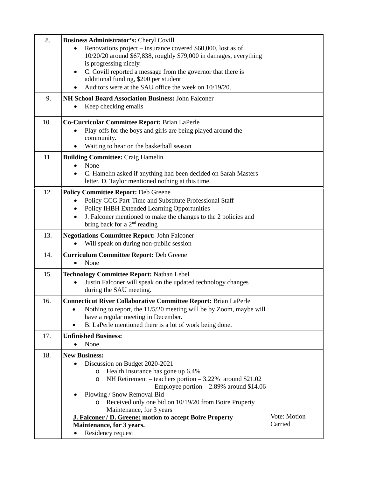| 8.  | Business Administrator's: Cheryl Covill                                                               |              |
|-----|-------------------------------------------------------------------------------------------------------|--------------|
|     | Renovations project – insurance covered \$60,000, lost as of                                          |              |
|     | 10/20/20 around \$67,838, roughly \$79,000 in damages, everything                                     |              |
|     | is progressing nicely.<br>C. Covill reported a message from the governor that there is                |              |
|     | additional funding, \$200 per student                                                                 |              |
|     | Auditors were at the SAU office the week on 10/19/20.                                                 |              |
| 9.  | NH School Board Association Business: John Falconer                                                   |              |
|     | Keep checking emails                                                                                  |              |
| 10. | Co-Curricular Committee Report: Brian LaPerle                                                         |              |
|     | Play-offs for the boys and girls are being played around the                                          |              |
|     | community.                                                                                            |              |
|     | Waiting to hear on the basketball season                                                              |              |
| 11. | <b>Building Committee: Craig Hamelin</b>                                                              |              |
|     | None                                                                                                  |              |
|     | C. Hamelin asked if anything had been decided on Sarah Masters                                        |              |
|     | letter. D. Taylor mentioned nothing at this time.                                                     |              |
| 12. | <b>Policy Committee Report: Deb Greene</b>                                                            |              |
|     | Policy GCG Part-Time and Substitute Professional Staff<br>Policy IHBH Extended Learning Opportunities |              |
|     | J. Falconer mentioned to make the changes to the 2 policies and<br>$\bullet$                          |              |
|     | bring back for a $2nd$ reading                                                                        |              |
| 13. | <b>Negotiations Committee Report: John Falconer</b>                                                   |              |
|     | Will speak on during non-public session                                                               |              |
| 14. | <b>Curriculum Committee Report: Deb Greene</b>                                                        |              |
|     | None                                                                                                  |              |
| 15. | <b>Technology Committee Report: Nathan Lebel</b>                                                      |              |
|     | Justin Falconer will speak on the updated technology changes                                          |              |
|     | during the SAU meeting.                                                                               |              |
| 16. | <b>Connecticut River Collaborative Committee Report: Brian LaPerle</b>                                |              |
|     | Nothing to report, the 11/5/20 meeting will be by Zoom, maybe will<br>٠                               |              |
|     | have a regular meeting in December.<br>B. LaPerle mentioned there is a lot of work being done.<br>٠   |              |
|     | <b>Unfinished Business:</b>                                                                           |              |
| 17. | None                                                                                                  |              |
| 18. | <b>New Business:</b>                                                                                  |              |
|     | Discussion on Budget 2020-2021                                                                        |              |
|     | Health Insurance has gone up 6.4%<br>O                                                                |              |
|     | NH Retirement – teachers portion – 3.22% around \$21.02<br>O                                          |              |
|     | Employee portion $-2.89\%$ around \$14.06                                                             |              |
|     | Plowing / Snow Removal Bid<br>Received only one bid on 10/19/20 from Boire Property                   |              |
|     | Maintenance, for 3 years                                                                              |              |
|     | <b>J. Falconer / D. Greene: motion to accept Boire Property</b>                                       | Vote: Motion |
|     | Maintenance, for 3 years.                                                                             | Carried      |
|     | Residency request                                                                                     |              |